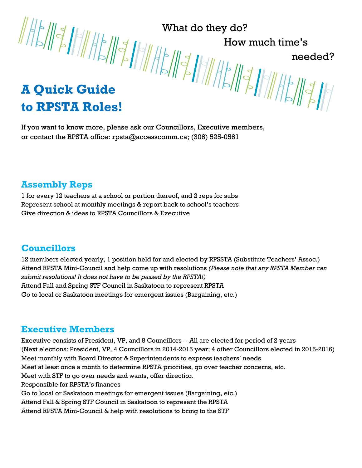# What do they do?

needed?

How much time's

# **A Quick Guide to RPSTA Roles!**

If you want to know more, please ask our Councillors, Executive members, or contact the RPSTA office: [rpsta@accesscomm.ca;](mailto:rpsta@accesscomm.ca) (306) 525-0561

#### **Assembly Reps**

1 for every 12 teachers at a school or portion thereof, and 2 reps for subs Represent school at monthly meetings & report back to school's teachers Give direction & ideas to RPSTA Councillors & Executive

### **Councillors**

12 members elected yearly, 1 position held for and elected by RPSSTA (Substitute Teachers' Assoc.) Attend RPSTA Mini-Council and help come up with resolutions *(Please note that any RPSTA Member can submit resolutions! It does not have to be passed by the RPSTA!)* Attend Fall and Spring STF Council in Saskatoon to represent RPSTA Go to local or Saskatoon meetings for emergent issues (Bargaining, etc.)

#### **Executive Members**

Executive consists of President, VP, and 8 Councillors -- All are elected for period of 2 years (Next elections: President, VP, 4 Councillors in 2014-2015 year; 4 other Councillors elected in 2015-2016) Meet monthly with Board Director & Superintendents to express teachers' needs Meet at least once a month to determine RPSTA priorities, go over teacher concerns, etc. Meet with STF to go over needs and wants, offer direction Responsible for RPSTA's finances Go to local or Saskatoon meetings for emergent issues (Bargaining, etc.) Attend Fall & Spring STF Council in Saskatoon to represent the RPSTA Attend RPSTA Mini-Council & help with resolutions to bring to the STF